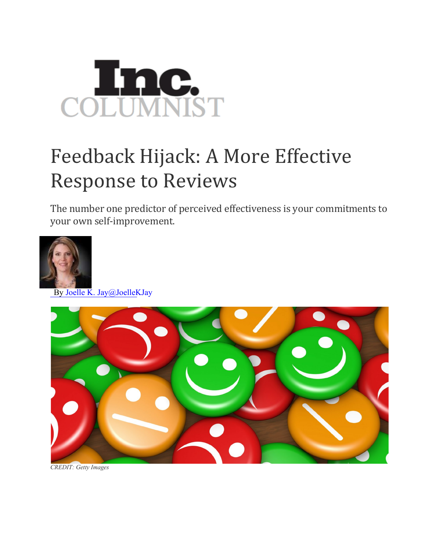

## Feedback Hijack: A More Effective Response to Reviews

The number one predictor of perceived effectiveness is your commitments to your own self-improvement.



By Joelle K. Jay@JoelleKJay



*CREDIT: Getty Images*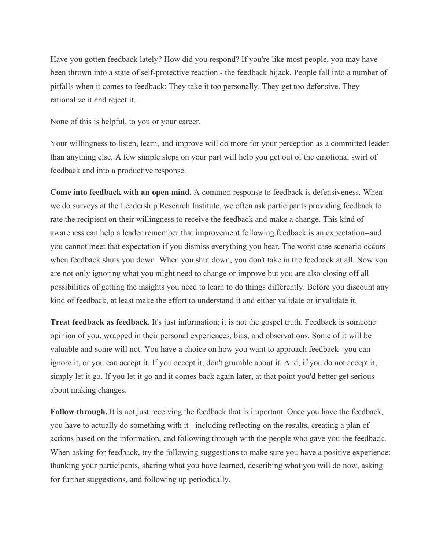Have you gotten feedback lately? How did you respond? If you're like most people, you may have been thrown into a state of self-protective reaction - the feedback hijack. People fall into a number of pitfalls when it comes to feedback: They take it too personally. They get too defensive. They rationalize it and reject it.

None of this is helpful, to you or your career.

Your willingness to listen, learn, and improve will do more for your perception as a committed leader than anything else. A few simple steps on your part will help you get out of the emotional swirl of feedback and into a productive response.

**Come into feedback with an open mind.** A common response to feedback is defensiveness. When we do surveys at the Leadership Research Institute, we often ask participants providing feedback to rate the recipient on their willingness to receive the feedback and make a change. This kind of awareness can help a leader remember that improvement following feedback is an expectation--and you cannot meet that expectation if you dismiss everything you hear. The worst case scenario occurs when feedback shuts you down. When you shut down, you don't take in the feedback at all. Now you are not only ignoring what you might need to change or improve but you are also closing off all possibilities of getting the insights you need to learn to do things differently. Before you discount any kind of feedback, at least make the effort to understand it and either validate or invalidate it.

**Treat feedback as feedback.** It's just information; it is not the gospel truth. Feedback is someone opinion of you, wrapped in their personal experiences, bias, and observations. Some of it will be valuable and some will not. You have a choice on how you want to approach feedback--you can ignore it, or you can accept it. If you accept it, don't grumble about it. And, if you do not accept it, simply let it go. If you let it go and it comes back again later, at that point you'd better get serious about making changes.

**Follow through.** It is not just receiving the feedback that is important. Once you have the feedback, you have to actually do something with it - including reflecting on the results, creating a plan of actions based on the information, and following through with the people who gave you the feedback. When asking for feedback, try the following suggestions to make sure you have a positive experience: thanking your participants, sharing what you have learned, describing what you will do now, asking for further suggestions, and following up periodically.